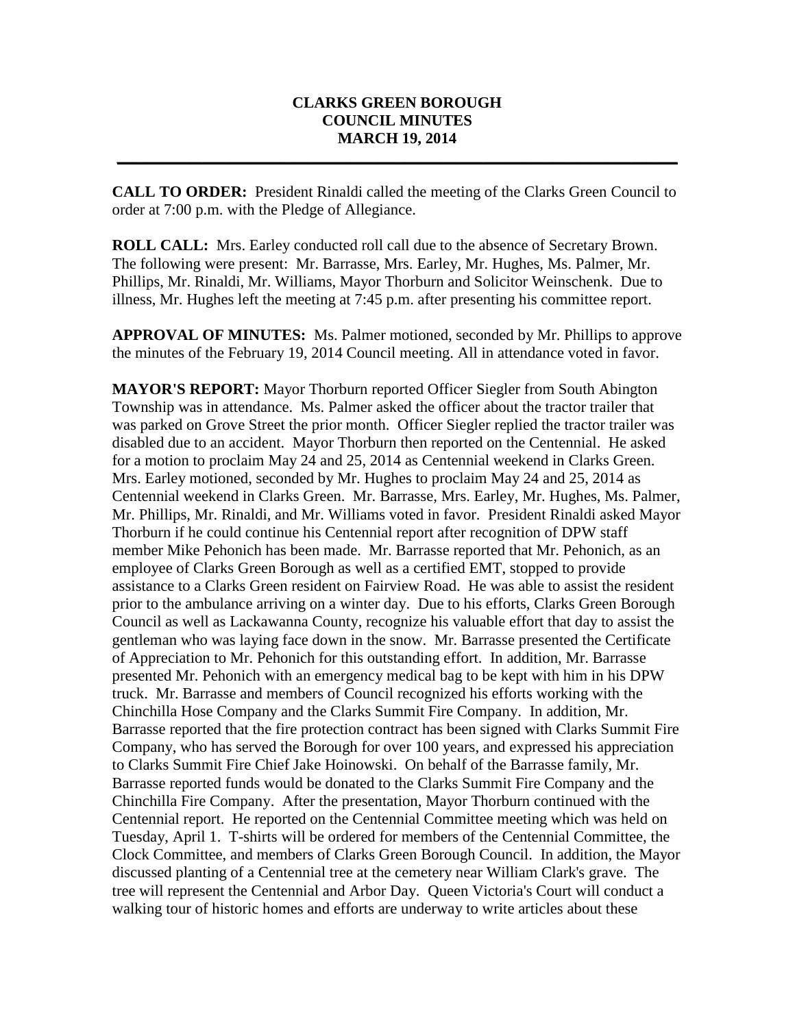## **CLARKS GREEN BOROUGH COUNCIL MINUTES MARCH 19, 2014**

**\_\_\_\_\_\_\_\_\_\_\_\_\_\_\_\_\_\_\_\_\_\_\_\_\_\_\_\_\_\_\_\_\_\_\_\_\_\_\_\_\_\_\_\_\_\_\_\_\_\_\_\_\_\_\_\_\_\_\_\_\_\_\_\_\_\_\_\_\_\_\_\_**

**CALL TO ORDER:** President Rinaldi called the meeting of the Clarks Green Council to order at 7:00 p.m. with the Pledge of Allegiance.

**ROLL CALL:** Mrs. Earley conducted roll call due to the absence of Secretary Brown. The following were present: Mr. Barrasse, Mrs. Earley, Mr. Hughes, Ms. Palmer, Mr. Phillips, Mr. Rinaldi, Mr. Williams, Mayor Thorburn and Solicitor Weinschenk. Due to illness, Mr. Hughes left the meeting at 7:45 p.m. after presenting his committee report.

**APPROVAL OF MINUTES:** Ms. Palmer motioned, seconded by Mr. Phillips to approve the minutes of the February 19, 2014 Council meeting. All in attendance voted in favor.

**MAYOR'S REPORT:** Mayor Thorburn reported Officer Siegler from South Abington Township was in attendance. Ms. Palmer asked the officer about the tractor trailer that was parked on Grove Street the prior month. Officer Siegler replied the tractor trailer was disabled due to an accident. Mayor Thorburn then reported on the Centennial. He asked for a motion to proclaim May 24 and 25, 2014 as Centennial weekend in Clarks Green. Mrs. Earley motioned, seconded by Mr. Hughes to proclaim May 24 and 25, 2014 as Centennial weekend in Clarks Green. Mr. Barrasse, Mrs. Earley, Mr. Hughes, Ms. Palmer, Mr. Phillips, Mr. Rinaldi, and Mr. Williams voted in favor. President Rinaldi asked Mayor Thorburn if he could continue his Centennial report after recognition of DPW staff member Mike Pehonich has been made. Mr. Barrasse reported that Mr. Pehonich, as an employee of Clarks Green Borough as well as a certified EMT, stopped to provide assistance to a Clarks Green resident on Fairview Road. He was able to assist the resident prior to the ambulance arriving on a winter day. Due to his efforts, Clarks Green Borough Council as well as Lackawanna County, recognize his valuable effort that day to assist the gentleman who was laying face down in the snow. Mr. Barrasse presented the Certificate of Appreciation to Mr. Pehonich for this outstanding effort. In addition, Mr. Barrasse presented Mr. Pehonich with an emergency medical bag to be kept with him in his DPW truck. Mr. Barrasse and members of Council recognized his efforts working with the Chinchilla Hose Company and the Clarks Summit Fire Company. In addition, Mr. Barrasse reported that the fire protection contract has been signed with Clarks Summit Fire Company, who has served the Borough for over 100 years, and expressed his appreciation to Clarks Summit Fire Chief Jake Hoinowski. On behalf of the Barrasse family, Mr. Barrasse reported funds would be donated to the Clarks Summit Fire Company and the Chinchilla Fire Company. After the presentation, Mayor Thorburn continued with the Centennial report. He reported on the Centennial Committee meeting which was held on Tuesday, April 1. T-shirts will be ordered for members of the Centennial Committee, the Clock Committee, and members of Clarks Green Borough Council. In addition, the Mayor discussed planting of a Centennial tree at the cemetery near William Clark's grave. The tree will represent the Centennial and Arbor Day. Queen Victoria's Court will conduct a walking tour of historic homes and efforts are underway to write articles about these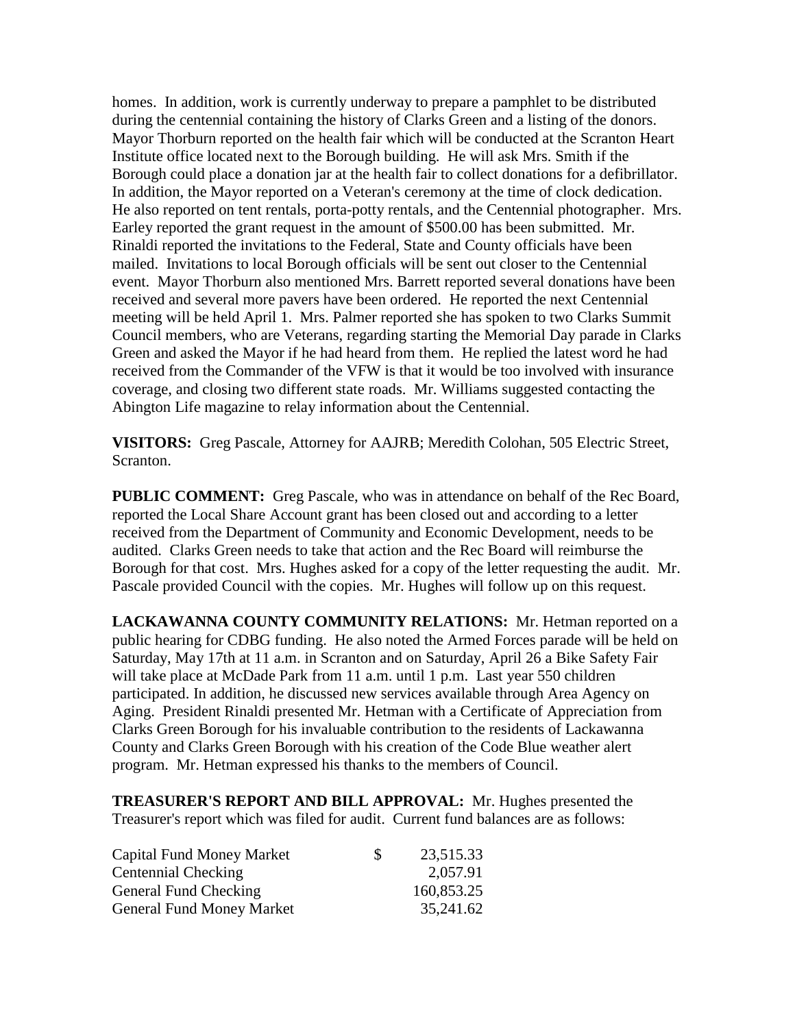homes. In addition, work is currently underway to prepare a pamphlet to be distributed during the centennial containing the history of Clarks Green and a listing of the donors. Mayor Thorburn reported on the health fair which will be conducted at the Scranton Heart Institute office located next to the Borough building. He will ask Mrs. Smith if the Borough could place a donation jar at the health fair to collect donations for a defibrillator. In addition, the Mayor reported on a Veteran's ceremony at the time of clock dedication. He also reported on tent rentals, porta-potty rentals, and the Centennial photographer. Mrs. Earley reported the grant request in the amount of \$500.00 has been submitted. Mr. Rinaldi reported the invitations to the Federal, State and County officials have been mailed. Invitations to local Borough officials will be sent out closer to the Centennial event. Mayor Thorburn also mentioned Mrs. Barrett reported several donations have been received and several more pavers have been ordered. He reported the next Centennial meeting will be held April 1. Mrs. Palmer reported she has spoken to two Clarks Summit Council members, who are Veterans, regarding starting the Memorial Day parade in Clarks Green and asked the Mayor if he had heard from them. He replied the latest word he had received from the Commander of the VFW is that it would be too involved with insurance coverage, and closing two different state roads. Mr. Williams suggested contacting the Abington Life magazine to relay information about the Centennial.

**VISITORS:** Greg Pascale, Attorney for AAJRB; Meredith Colohan, 505 Electric Street, Scranton.

**PUBLIC COMMENT:** Greg Pascale, who was in attendance on behalf of the Rec Board, reported the Local Share Account grant has been closed out and according to a letter received from the Department of Community and Economic Development, needs to be audited. Clarks Green needs to take that action and the Rec Board will reimburse the Borough for that cost. Mrs. Hughes asked for a copy of the letter requesting the audit. Mr. Pascale provided Council with the copies. Mr. Hughes will follow up on this request.

**LACKAWANNA COUNTY COMMUNITY RELATIONS:** Mr. Hetman reported on a public hearing for CDBG funding. He also noted the Armed Forces parade will be held on Saturday, May 17th at 11 a.m. in Scranton and on Saturday, April 26 a Bike Safety Fair will take place at McDade Park from 11 a.m. until 1 p.m. Last year 550 children participated. In addition, he discussed new services available through Area Agency on Aging. President Rinaldi presented Mr. Hetman with a Certificate of Appreciation from Clarks Green Borough for his invaluable contribution to the residents of Lackawanna County and Clarks Green Borough with his creation of the Code Blue weather alert program. Mr. Hetman expressed his thanks to the members of Council.

**TREASURER'S REPORT AND BILL APPROVAL:** Mr. Hughes presented the Treasurer's report which was filed for audit. Current fund balances are as follows:

| Capital Fund Money Market        | <sup>S</sup> | 23,515.33  |
|----------------------------------|--------------|------------|
| <b>Centennial Checking</b>       |              | 2,057.91   |
| General Fund Checking            |              | 160,853.25 |
| <b>General Fund Money Market</b> |              | 35,241.62  |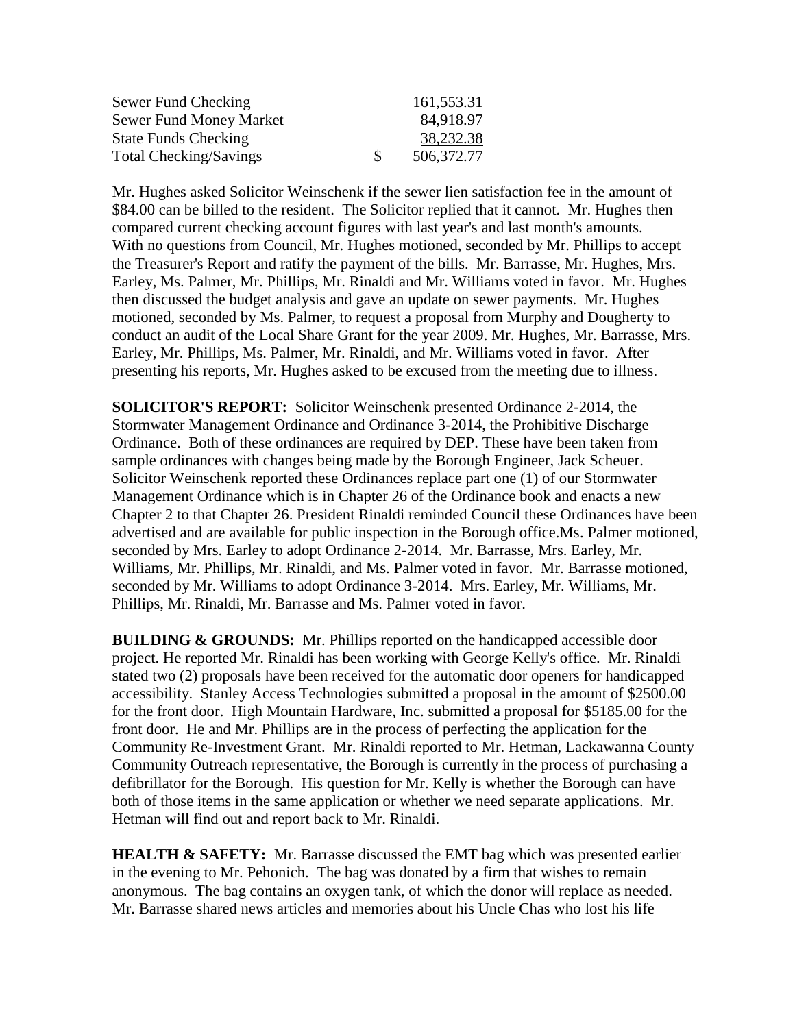| Sewer Fund Checking            |    | 161,553.31 |
|--------------------------------|----|------------|
| <b>Sewer Fund Money Market</b> |    | 84,918.97  |
| <b>State Funds Checking</b>    |    | 38,232.38  |
| <b>Total Checking/Savings</b>  | -S | 506,372.77 |

Mr. Hughes asked Solicitor Weinschenk if the sewer lien satisfaction fee in the amount of \$84.00 can be billed to the resident. The Solicitor replied that it cannot. Mr. Hughes then compared current checking account figures with last year's and last month's amounts. With no questions from Council, Mr. Hughes motioned, seconded by Mr. Phillips to accept the Treasurer's Report and ratify the payment of the bills. Mr. Barrasse, Mr. Hughes, Mrs. Earley, Ms. Palmer, Mr. Phillips, Mr. Rinaldi and Mr. Williams voted in favor. Mr. Hughes then discussed the budget analysis and gave an update on sewer payments. Mr. Hughes motioned, seconded by Ms. Palmer, to request a proposal from Murphy and Dougherty to conduct an audit of the Local Share Grant for the year 2009. Mr. Hughes, Mr. Barrasse, Mrs. Earley, Mr. Phillips, Ms. Palmer, Mr. Rinaldi, and Mr. Williams voted in favor. After presenting his reports, Mr. Hughes asked to be excused from the meeting due to illness.

**SOLICITOR'S REPORT:** Solicitor Weinschenk presented Ordinance 2-2014, the Stormwater Management Ordinance and Ordinance 3-2014, the Prohibitive Discharge Ordinance. Both of these ordinances are required by DEP. These have been taken from sample ordinances with changes being made by the Borough Engineer, Jack Scheuer. Solicitor Weinschenk reported these Ordinances replace part one (1) of our Stormwater Management Ordinance which is in Chapter 26 of the Ordinance book and enacts a new Chapter 2 to that Chapter 26. President Rinaldi reminded Council these Ordinances have been advertised and are available for public inspection in the Borough office.Ms. Palmer motioned, seconded by Mrs. Earley to adopt Ordinance 2-2014. Mr. Barrasse, Mrs. Earley, Mr. Williams, Mr. Phillips, Mr. Rinaldi, and Ms. Palmer voted in favor. Mr. Barrasse motioned, seconded by Mr. Williams to adopt Ordinance 3-2014. Mrs. Earley, Mr. Williams, Mr. Phillips, Mr. Rinaldi, Mr. Barrasse and Ms. Palmer voted in favor.

**BUILDING & GROUNDS:** Mr. Phillips reported on the handicapped accessible door project. He reported Mr. Rinaldi has been working with George Kelly's office. Mr. Rinaldi stated two (2) proposals have been received for the automatic door openers for handicapped accessibility. Stanley Access Technologies submitted a proposal in the amount of \$2500.00 for the front door. High Mountain Hardware, Inc. submitted a proposal for \$5185.00 for the front door. He and Mr. Phillips are in the process of perfecting the application for the Community Re-Investment Grant. Mr. Rinaldi reported to Mr. Hetman, Lackawanna County Community Outreach representative, the Borough is currently in the process of purchasing a defibrillator for the Borough. His question for Mr. Kelly is whether the Borough can have both of those items in the same application or whether we need separate applications. Mr. Hetman will find out and report back to Mr. Rinaldi.

**HEALTH & SAFETY:** Mr. Barrasse discussed the EMT bag which was presented earlier in the evening to Mr. Pehonich. The bag was donated by a firm that wishes to remain anonymous. The bag contains an oxygen tank, of which the donor will replace as needed. Mr. Barrasse shared news articles and memories about his Uncle Chas who lost his life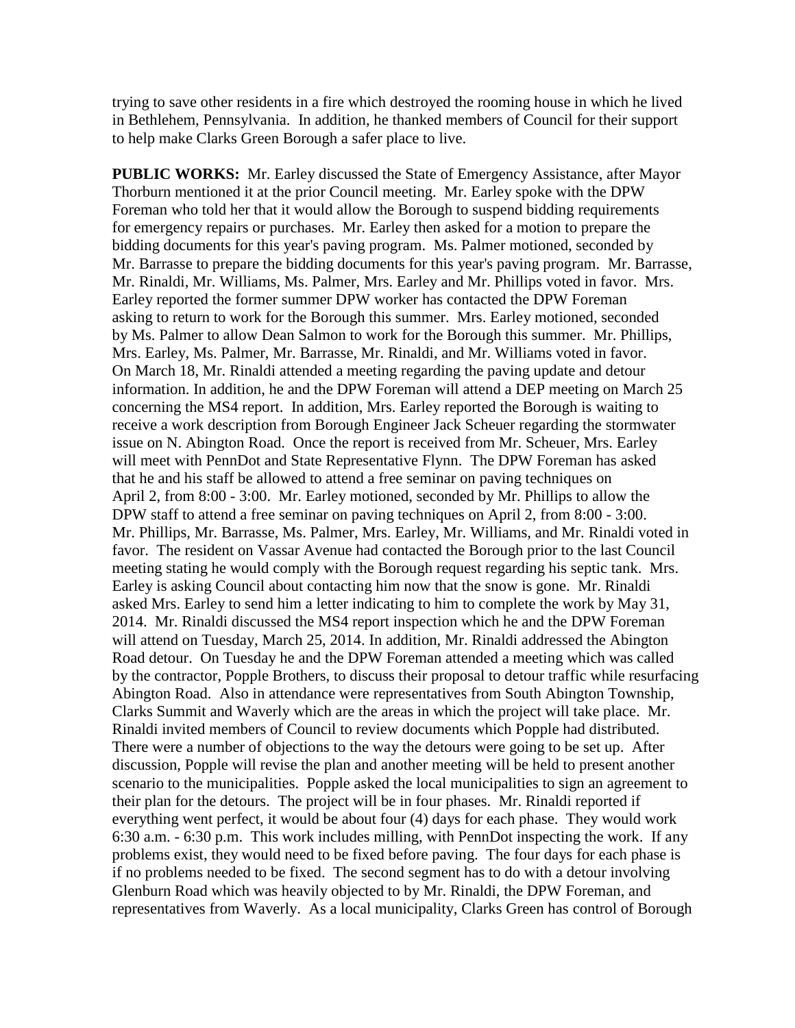trying to save other residents in a fire which destroyed the rooming house in which he lived in Bethlehem, Pennsylvania. In addition, he thanked members of Council for their support to help make Clarks Green Borough a safer place to live.

**PUBLIC WORKS:** Mr. Earley discussed the State of Emergency Assistance, after Mayor Thorburn mentioned it at the prior Council meeting. Mr. Earley spoke with the DPW Foreman who told her that it would allow the Borough to suspend bidding requirements for emergency repairs or purchases. Mr. Earley then asked for a motion to prepare the bidding documents for this year's paving program. Ms. Palmer motioned, seconded by Mr. Barrasse to prepare the bidding documents for this year's paving program. Mr. Barrasse, Mr. Rinaldi, Mr. Williams, Ms. Palmer, Mrs. Earley and Mr. Phillips voted in favor. Mrs. Earley reported the former summer DPW worker has contacted the DPW Foreman asking to return to work for the Borough this summer. Mrs. Earley motioned, seconded by Ms. Palmer to allow Dean Salmon to work for the Borough this summer. Mr. Phillips, Mrs. Earley, Ms. Palmer, Mr. Barrasse, Mr. Rinaldi, and Mr. Williams voted in favor. On March 18, Mr. Rinaldi attended a meeting regarding the paving update and detour information. In addition, he and the DPW Foreman will attend a DEP meeting on March 25 concerning the MS4 report. In addition, Mrs. Earley reported the Borough is waiting to receive a work description from Borough Engineer Jack Scheuer regarding the stormwater issue on N. Abington Road. Once the report is received from Mr. Scheuer, Mrs. Earley will meet with PennDot and State Representative Flynn. The DPW Foreman has asked that he and his staff be allowed to attend a free seminar on paving techniques on April 2, from 8:00 - 3:00. Mr. Earley motioned, seconded by Mr. Phillips to allow the DPW staff to attend a free seminar on paving techniques on April 2, from 8:00 - 3:00. Mr. Phillips, Mr. Barrasse, Ms. Palmer, Mrs. Earley, Mr. Williams, and Mr. Rinaldi voted in favor. The resident on Vassar Avenue had contacted the Borough prior to the last Council meeting stating he would comply with the Borough request regarding his septic tank. Mrs. Earley is asking Council about contacting him now that the snow is gone. Mr. Rinaldi asked Mrs. Earley to send him a letter indicating to him to complete the work by May 31, 2014. Mr. Rinaldi discussed the MS4 report inspection which he and the DPW Foreman will attend on Tuesday, March 25, 2014. In addition, Mr. Rinaldi addressed the Abington Road detour. On Tuesday he and the DPW Foreman attended a meeting which was called by the contractor, Popple Brothers, to discuss their proposal to detour traffic while resurfacing Abington Road. Also in attendance were representatives from South Abington Township, Clarks Summit and Waverly which are the areas in which the project will take place. Mr. Rinaldi invited members of Council to review documents which Popple had distributed. There were a number of objections to the way the detours were going to be set up. After discussion, Popple will revise the plan and another meeting will be held to present another scenario to the municipalities. Popple asked the local municipalities to sign an agreement to their plan for the detours. The project will be in four phases. Mr. Rinaldi reported if everything went perfect, it would be about four (4) days for each phase. They would work 6:30 a.m. - 6:30 p.m. This work includes milling, with PennDot inspecting the work. If any problems exist, they would need to be fixed before paving. The four days for each phase is if no problems needed to be fixed. The second segment has to do with a detour involving Glenburn Road which was heavily objected to by Mr. Rinaldi, the DPW Foreman, and representatives from Waverly. As a local municipality, Clarks Green has control of Borough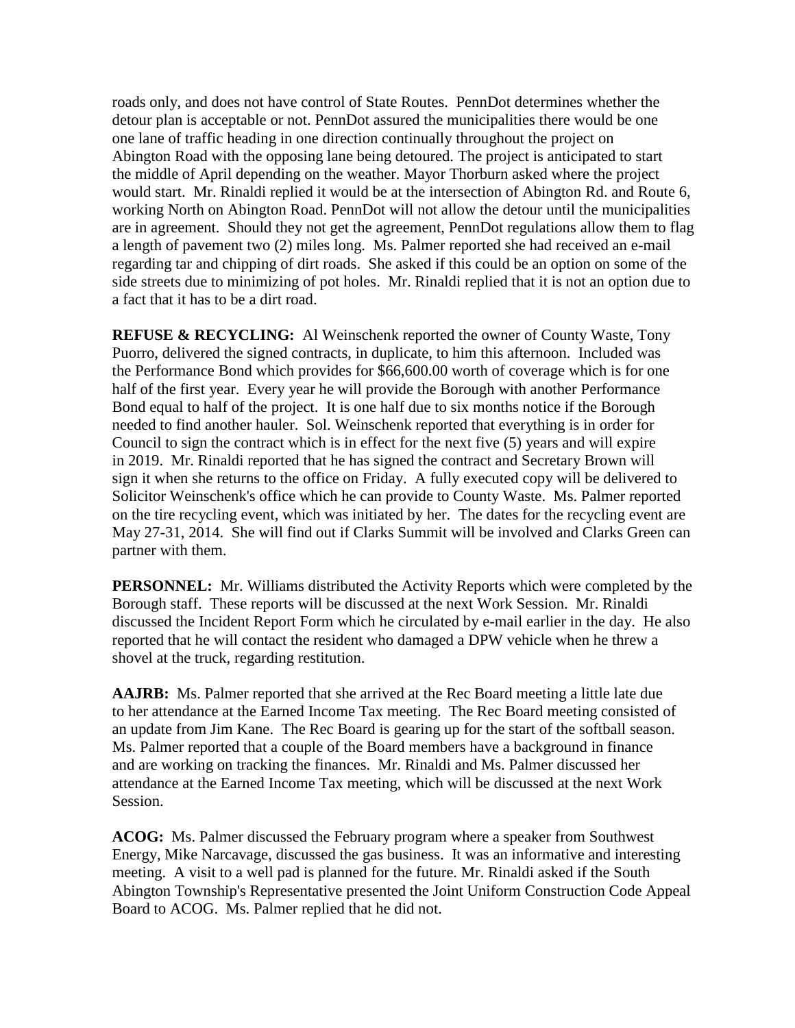roads only, and does not have control of State Routes. PennDot determines whether the detour plan is acceptable or not. PennDot assured the municipalities there would be one one lane of traffic heading in one direction continually throughout the project on Abington Road with the opposing lane being detoured. The project is anticipated to start the middle of April depending on the weather. Mayor Thorburn asked where the project would start. Mr. Rinaldi replied it would be at the intersection of Abington Rd. and Route 6, working North on Abington Road. PennDot will not allow the detour until the municipalities are in agreement. Should they not get the agreement, PennDot regulations allow them to flag a length of pavement two (2) miles long. Ms. Palmer reported she had received an e-mail regarding tar and chipping of dirt roads. She asked if this could be an option on some of the side streets due to minimizing of pot holes. Mr. Rinaldi replied that it is not an option due to a fact that it has to be a dirt road.

**REFUSE & RECYCLING:** Al Weinschenk reported the owner of County Waste, Tony Puorro, delivered the signed contracts, in duplicate, to him this afternoon. Included was the Performance Bond which provides for \$66,600.00 worth of coverage which is for one half of the first year. Every year he will provide the Borough with another Performance Bond equal to half of the project. It is one half due to six months notice if the Borough needed to find another hauler. Sol. Weinschenk reported that everything is in order for Council to sign the contract which is in effect for the next five (5) years and will expire in 2019. Mr. Rinaldi reported that he has signed the contract and Secretary Brown will sign it when she returns to the office on Friday. A fully executed copy will be delivered to Solicitor Weinschenk's office which he can provide to County Waste. Ms. Palmer reported on the tire recycling event, which was initiated by her. The dates for the recycling event are May 27-31, 2014. She will find out if Clarks Summit will be involved and Clarks Green can partner with them.

**PERSONNEL:** Mr. Williams distributed the Activity Reports which were completed by the Borough staff. These reports will be discussed at the next Work Session. Mr. Rinaldi discussed the Incident Report Form which he circulated by e-mail earlier in the day. He also reported that he will contact the resident who damaged a DPW vehicle when he threw a shovel at the truck, regarding restitution.

**AAJRB:** Ms. Palmer reported that she arrived at the Rec Board meeting a little late due to her attendance at the Earned Income Tax meeting. The Rec Board meeting consisted of an update from Jim Kane. The Rec Board is gearing up for the start of the softball season. Ms. Palmer reported that a couple of the Board members have a background in finance and are working on tracking the finances. Mr. Rinaldi and Ms. Palmer discussed her attendance at the Earned Income Tax meeting, which will be discussed at the next Work Session.

**ACOG:** Ms. Palmer discussed the February program where a speaker from Southwest Energy, Mike Narcavage, discussed the gas business. It was an informative and interesting meeting. A visit to a well pad is planned for the future. Mr. Rinaldi asked if the South Abington Township's Representative presented the Joint Uniform Construction Code Appeal Board to ACOG. Ms. Palmer replied that he did not.